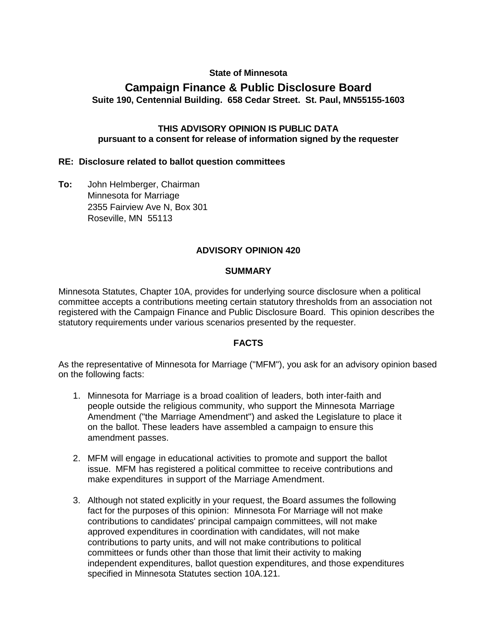# **State of Minnesota**

# **Campaign Finance & Public Disclosure Board Suite 190, Centennial Building. 658 Cedar Street. St. Paul, MN55155-1603**

#### **THIS ADVISORY OPINION IS PUBLIC DATA pursuant to a consent for release of information signed by the requester**

#### **RE: Disclosure related to ballot question committees**

**To:** John Helmberger, Chairman Minnesota for Marriage 2355 Fairview Ave N, Box 301 Roseville, MN 55113

#### **ADVISORY OPINION 420**

#### **SUMMARY**

Minnesota Statutes, Chapter 10A, provides for underlying source disclosure when a political committee accepts a contributions meeting certain statutory thresholds from an association not registered with the Campaign Finance and Public Disclosure Board. This opinion describes the statutory requirements under various scenarios presented by the requester.

#### **FACTS**

As the representative of Minnesota for Marriage ("MFM"), you ask for an advisory opinion based on the following facts:

- 1. Minnesota for Marriage is a broad coalition of leaders, both inter-faith and people outside the religious community, who support the Minnesota Marriage Amendment ("the Marriage Amendment") and asked the Legislature to place it on the ballot. These leaders have assembled a campaign to ensure this amendment passes.
- 2. MFM will engage in educational activities to promote and support the ballot issue. MFM has registered a political committee to receive contributions and make expenditures in support of the Marriage Amendment.
- 3. Although not stated explicitly in your request, the Board assumes the following fact for the purposes of this opinion: Minnesota For Marriage will not make contributions to candidates' principal campaign committees, will not make approved expenditures in coordination with candidates, will not make contributions to party units, and will not make contributions to political committees or funds other than those that limit their activity to making independent expenditures, ballot question expenditures, and those expenditures specified in Minnesota Statutes section 10A.121.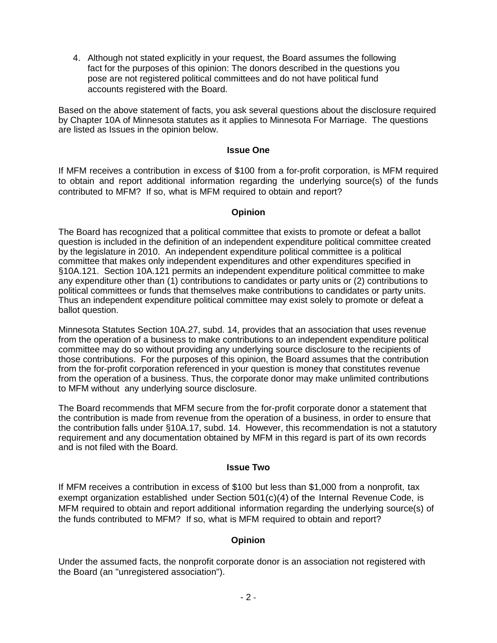4. Although not stated explicitly in your request, the Board assumes the following fact for the purposes of this opinion: The donors described in the questions you pose are not registered political committees and do not have political fund accounts registered with the Board.

Based on the above statement of facts, you ask several questions about the disclosure required by Chapter 10A of Minnesota statutes as it applies to Minnesota For Marriage. The questions are listed as Issues in the opinion below.

#### **Issue One**

If MFM receives a contribution in excess of \$100 from a for-profit corporation, is MFM required to obtain and report additional information regarding the underlying source(s) of the funds contributed to MFM? If so, what is MFM required to obtain and report?

#### **Opinion**

The Board has recognized that a political committee that exists to promote or defeat a ballot question is included in the definition of an independent expenditure political committee created by the legislature in 2010. An independent expenditure political committee is a political committee that makes only independent expenditures and other expenditures specified in §10A.121. Section 10A.121 permits an independent expenditure political committee to make any expenditure other than (1) contributions to candidates or party units or (2) contributions to political committees or funds that themselves make contributions to candidates or party units. Thus an independent expenditure political committee may exist solely to promote or defeat a ballot question.

Minnesota Statutes Section 10A.27, subd. 14, provides that an association that uses revenue from the operation of a business to make contributions to an independent expenditure political committee may do so without providing any underlying source disclosure to the recipients of those contributions. For the purposes of this opinion, the Board assumes that the contribution from the for-profit corporation referenced in your question is money that constitutes revenue from the operation of a business. Thus, the corporate donor may make unlimited contributions to MFM without any underlying source disclosure.

The Board recommends that MFM secure from the for-profit corporate donor a statement that the contribution is made from revenue from the operation of a business, in order to ensure that the contribution falls under §10A.17, subd. 14. However, this recommendation is not a statutory requirement and any documentation obtained by MFM in this regard is part of its own records and is not filed with the Board.

#### **Issue Two**

If MFM receives a contribution in excess of \$100 but less than \$1,000 from a nonprofit, tax exempt organization established under Section 501(c)(4) of the Internal Revenue Code, is MFM required to obtain and report additional information regarding the underlying source(s) of the funds contributed to MFM? If so, what is MFM required to obtain and report?

#### **Opinion**

Under the assumed facts, the nonprofit corporate donor is an association not registered with the Board (an "unregistered association").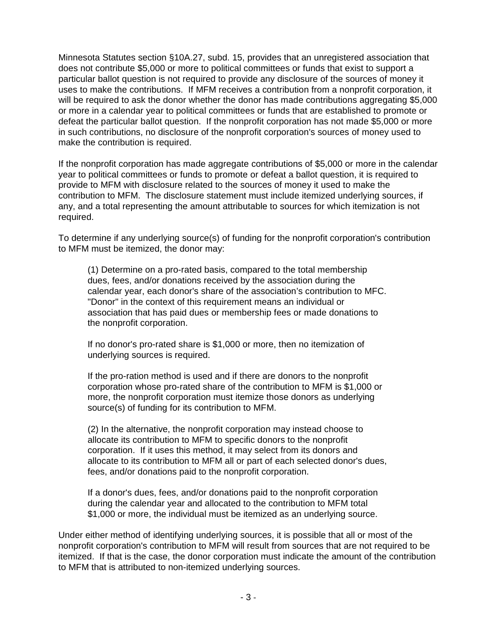Minnesota Statutes section §10A.27, subd. 15, provides that an unregistered association that does not contribute \$5,000 or more to political committees or funds that exist to support a particular ballot question is not required to provide any disclosure of the sources of money it uses to make the contributions. If MFM receives a contribution from a nonprofit corporation, it will be required to ask the donor whether the donor has made contributions aggregating \$5,000 or more in a calendar year to political committees or funds that are established to promote or defeat the particular ballot question. If the nonprofit corporation has not made \$5,000 or more in such contributions, no disclosure of the nonprofit corporation's sources of money used to make the contribution is required.

If the nonprofit corporation has made aggregate contributions of \$5,000 or more in the calendar year to political committees or funds to promote or defeat a ballot question, it is required to provide to MFM with disclosure related to the sources of money it used to make the contribution to MFM. The disclosure statement must include itemized underlying sources, if any, and a total representing the amount attributable to sources for which itemization is not required.

To determine if any underlying source(s) of funding for the nonprofit corporation's contribution to MFM must be itemized, the donor may:

(1) Determine on a pro-rated basis, compared to the total membership dues, fees, and/or donations received by the association during the calendar year, each donor's share of the association's contribution to MFC. "Donor" in the context of this requirement means an individual or association that has paid dues or membership fees or made donations to the nonprofit corporation.

If no donor's pro-rated share is \$1,000 or more, then no itemization of underlying sources is required.

If the pro-ration method is used and if there are donors to the nonprofit corporation whose pro-rated share of the contribution to MFM is \$1,000 or more, the nonprofit corporation must itemize those donors as underlying source(s) of funding for its contribution to MFM.

(2) In the alternative, the nonprofit corporation may instead choose to allocate its contribution to MFM to specific donors to the nonprofit corporation. If it uses this method, it may select from its donors and allocate to its contribution to MFM all or part of each selected donor's dues, fees, and/or donations paid to the nonprofit corporation.

If a donor's dues, fees, and/or donations paid to the nonprofit corporation during the calendar year and allocated to the contribution to MFM total \$1,000 or more, the individual must be itemized as an underlying source.

Under either method of identifying underlying sources, it is possible that all or most of the nonprofit corporation's contribution to MFM will result from sources that are not required to be itemized. If that is the case, the donor corporation must indicate the amount of the contribution to MFM that is attributed to non-itemized underlying sources.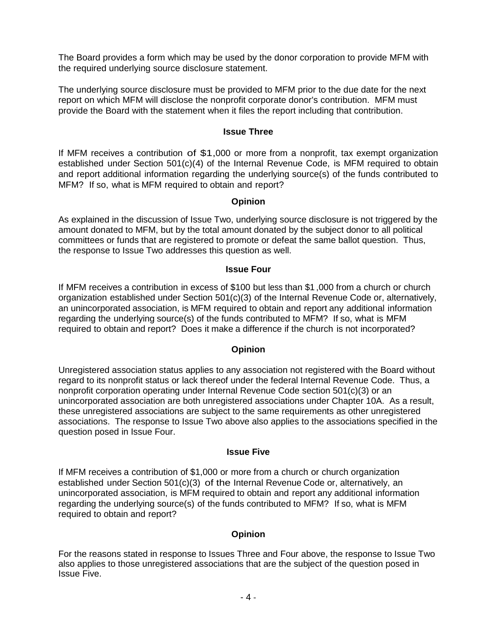The Board provides a form which may be used by the donor corporation to provide MFM with the required underlying source disclosure statement.

The underlying source disclosure must be provided to MFM prior to the due date for the next report on which MFM will disclose the nonprofit corporate donor's contribution. MFM must provide the Board with the statement when it files the report including that contribution.

### **Issue Three**

If MFM receives a contribution of \$1,000 or more from a nonprofit, tax exempt organization established under Section 501(c)(4) of the Internal Revenue Code, is MFM required to obtain and report additional information regarding the underlying source(s) of the funds contributed to MFM? If so, what is MFM required to obtain and report?

# **Opinion**

As explained in the discussion of Issue Two, underlying source disclosure is not triggered by the amount donated to MFM, but by the total amount donated by the subject donor to all political committees or funds that are registered to promote or defeat the same ballot question. Thus, the response to Issue Two addresses this question as well.

# **Issue Four**

If MFM receives a contribution in excess of \$100 but less than \$1 ,000 from a church or church organization established under Section 501(c)(3) of the Internal Revenue Code or, alternatively, an unincorporated association, is MFM required to obtain and report any additional information regarding the underlying source(s) of the funds contributed to MFM? If so, what is MFM required to obtain and report? Does it make a difference if the church is not incorporated?

# **Opinion**

Unregistered association status applies to any association not registered with the Board without regard to its nonprofit status or lack thereof under the federal Internal Revenue Code. Thus, a nonprofit corporation operating under Internal Revenue Code section 501(c)(3) or an unincorporated association are both unregistered associations under Chapter 10A. As a result, these unregistered associations are subject to the same requirements as other unregistered associations. The response to Issue Two above also applies to the associations specified in the question posed in Issue Four.

# **Issue Five**

If MFM receives a contribution of \$1,000 or more from a church or church organization established under Section 501(c)(3) of the Internal Revenue Code or, alternatively, an unincorporated association, is MFM required to obtain and report any additional information regarding the underlying source(s) of the funds contributed to MFM? If so, what is MFM required to obtain and report?

# **Opinion**

For the reasons stated in response to Issues Three and Four above, the response to Issue Two also applies to those unregistered associations that are the subject of the question posed in Issue Five.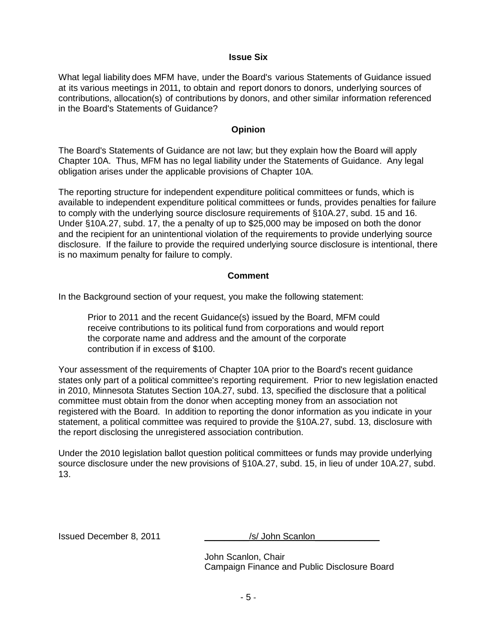#### **Issue Six**

What legal liability does MFM have, under the Board's various Statements of Guidance issued at its various meetings in 2011, to obtain and report donors to donors, underlying sources of contributions, allocation(s) of contributions by donors, and other similar information referenced in the Board's Statements of Guidance?

# **Opinion**

The Board's Statements of Guidance are not law; but they explain how the Board will apply Chapter 10A. Thus, MFM has no legal liability under the Statements of Guidance. Any legal obligation arises under the applicable provisions of Chapter 10A.

The reporting structure for independent expenditure political committees or funds, which is available to independent expenditure political committees or funds, provides penalties for failure to comply with the underlying source disclosure requirements of §10A.27, subd. 15 and 16. Under §10A.27, subd. 17, the a penalty of up to \$25,000 may be imposed on both the donor and the recipient for an unintentional violation of the requirements to provide underlying source disclosure. If the failure to provide the required underlying source disclosure is intentional, there is no maximum penalty for failure to comply.

# **Comment**

In the Background section of your request, you make the following statement:

Prior to 2011 and the recent Guidance(s) issued by the Board, MFM could receive contributions to its political fund from corporations and would report the corporate name and address and the amount of the corporate contribution if in excess of \$100.

Your assessment of the requirements of Chapter 10A prior to the Board's recent guidance states only part of a political committee's reporting requirement. Prior to new legislation enacted in 2010, Minnesota Statutes Section 10A.27, subd. 13, specified the disclosure that a political committee must obtain from the donor when accepting money from an association not registered with the Board. In addition to reporting the donor information as you indicate in your statement, a political committee was required to provide the §10A.27, subd. 13, disclosure with the report disclosing the unregistered association contribution.

Under the 2010 legislation ballot question political committees or funds may provide underlying source disclosure under the new provisions of §10A.27, subd. 15, in lieu of under 10A.27, subd. 13.

Issued December 8, 2011 \_\_\_\_\_\_\_\_\_/s/ John Scanlon\_\_\_\_\_\_\_\_\_\_\_\_\_

John Scanlon, Chair Campaign Finance and Public Disclosure Board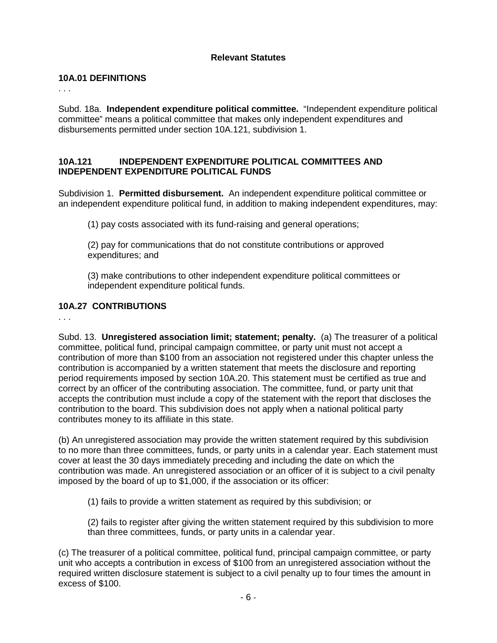# **Relevant Statutes**

#### **10A.01 DEFINITIONS**

. . .

Subd. 18a. **Independent expenditure political committee.** "Independent expenditure political committee" means a political committee that makes only independent expenditures and disbursements permitted under section 10A.121, subdivision 1.

# **10A.121 INDEPENDENT EXPENDITURE POLITICAL COMMITTEES AND INDEPENDENT EXPENDITURE POLITICAL FUNDS**

Subdivision 1. **Permitted disbursement.** An independent expenditure political committee or an independent expenditure political fund, in addition to making independent expenditures, may:

(1) pay costs associated with its fund-raising and general operations;

(2) pay for communications that do not constitute contributions or approved expenditures; and

(3) make contributions to other independent expenditure political committees or independent expenditure political funds.

# **10A.27 CONTRIBUTIONS**

. . .

Subd. 13. **Unregistered association limit; statement; penalty.** (a) The treasurer of a political committee, political fund, principal campaign committee, or party unit must not accept a contribution of more than \$100 from an association not registered under this chapter unless the contribution is accompanied by a written statement that meets the disclosure and reporting period requirements imposed by section 10A.20. This statement must be certified as true and correct by an officer of the contributing association. The committee, fund, or party unit that accepts the contribution must include a copy of the statement with the report that discloses the contribution to the board. This subdivision does not apply when a national political party contributes money to its affiliate in this state.

(b) An unregistered association may provide the written statement required by this subdivision to no more than three committees, funds, or party units in a calendar year. Each statement must cover at least the 30 days immediately preceding and including the date on which the contribution was made. An unregistered association or an officer of it is subject to a civil penalty imposed by the board of up to \$1,000, if the association or its officer:

(1) fails to provide a written statement as required by this subdivision; or

(2) fails to register after giving the written statement required by this subdivision to more than three committees, funds, or party units in a calendar year.

(c) The treasurer of a political committee, political fund, principal campaign committee, or party unit who accepts a contribution in excess of \$100 from an unregistered association without the required written disclosure statement is subject to a civil penalty up to four times the amount in excess of \$100.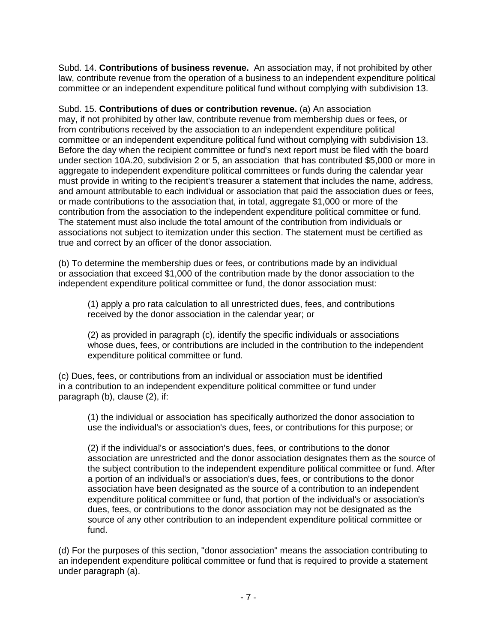Subd. 14. **Contributions of business revenue.** An association may, if not prohibited by other law, contribute revenue from the operation of a business to an independent expenditure political committee or an independent expenditure political fund without complying with subdivision 13.

Subd. 15. **Contributions of dues or contribution revenue.** (a) An association may, if not prohibited by other law, contribute revenue from membership dues or fees, or from contributions received by the association to an independent expenditure political committee or an independent expenditure political fund without complying with subdivision 13. Before the day when the recipient committee or fund's next report must be filed with the board under section 10A.20, subdivision 2 or 5, an association that has contributed \$5,000 or more in aggregate to independent expenditure political committees or funds during the calendar year must provide in writing to the recipient's treasurer a statement that includes the name, address, and amount attributable to each individual or association that paid the association dues or fees, or made contributions to the association that, in total, aggregate \$1,000 or more of the contribution from the association to the independent expenditure political committee or fund. The statement must also include the total amount of the contribution from individuals or associations not subject to itemization under this section. The statement must be certified as true and correct by an officer of the donor association.

(b) To determine the membership dues or fees, or contributions made by an individual or association that exceed \$1,000 of the contribution made by the donor association to the independent expenditure political committee or fund, the donor association must:

(1) apply a pro rata calculation to all unrestricted dues, fees, and contributions received by the donor association in the calendar year; or

(2) as provided in paragraph (c), identify the specific individuals or associations whose dues, fees, or contributions are included in the contribution to the independent expenditure political committee or fund.

(c) Dues, fees, or contributions from an individual or association must be identified in a contribution to an independent expenditure political committee or fund under paragraph (b), clause (2), if:

(1) the individual or association has specifically authorized the donor association to use the individual's or association's dues, fees, or contributions for this purpose; or

(2) if the individual's or association's dues, fees, or contributions to the donor association are unrestricted and the donor association designates them as the source of the subject contribution to the independent expenditure political committee or fund. After a portion of an individual's or association's dues, fees, or contributions to the donor association have been designated as the source of a contribution to an independent expenditure political committee or fund, that portion of the individual's or association's dues, fees, or contributions to the donor association may not be designated as the source of any other contribution to an independent expenditure political committee or fund.

(d) For the purposes of this section, "donor association" means the association contributing to an independent expenditure political committee or fund that is required to provide a statement under paragraph (a).